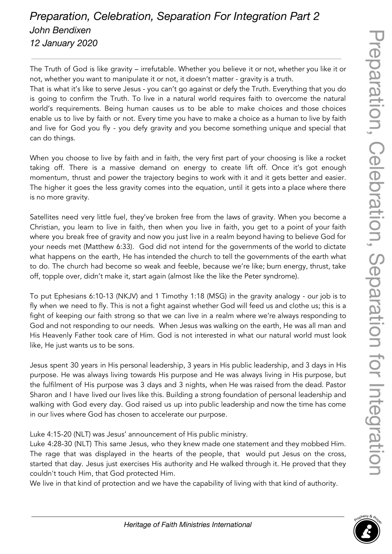## *Preparation, Celebration, Separation For Integration Part 2 John Bendixen 12 January 2020*

The Truth of God is like gravity – irrefutable. Whether you believe it or not, whether you like it or not, whether you want to manipulate it or not, it doesn't matter - gravity is a truth.

That is what it's like to serve Jesus - you can't go against or defy the Truth. Everything that you do is going to confirm the Truth. To live in a natural world requires faith to overcome the natural world's requirements. Being human causes us to be able to make choices and those choices enable us to live by faith or not. Every time you have to make a choice as a human to live by faith and live for God you fly - you defy gravity and you become something unique and special that can do things.

When you choose to live by faith and in faith, the very first part of your choosing is like a rocket taking off. There is a massive demand on energy to create lift off. Once it's got enough momentum, thrust and power the trajectory begins to work with it and it gets better and easier. The higher it goes the less gravity comes into the equation, until it gets into a place where there is no more gravity.

Satellites need very little fuel, they've broken free from the laws of gravity. When you become a Christian, you learn to live in faith, then when you live in faith, you get to a point of your faith where you break free of gravity and now you just live in a realm beyond having to believe God for your needs met (Matthew 6:33). God did not intend for the governments of the world to dictate what happens on the earth, He has intended the church to tell the governments of the earth what to do. The church had become so weak and feeble, because we're like; burn energy, thrust, take off, topple over, didn't make it, start again (almost like the like the Peter syndrome).

To put Ephesians 6:10-13 (NKJV) and 1 Timothy 1:18 (MSG) in the gravity analogy - our job is to fly when we need to fly. This is not a fight against whether God will feed us and clothe us; this is a fight of keeping our faith strong so that we can live in a realm where we're always responding to God and not responding to our needs. When Jesus was walking on the earth, He was all man and His Heavenly Father took care of Him. God is not interested in what our natural world must look like, He just wants us to be sons.

Jesus spent 30 years in His personal leadership, 3 years in His public leadership, and 3 days in His purpose. He was always living towards His purpose and He was always living in His purpose, but the fulfilment of His purpose was 3 days and 3 nights, when He was raised from the dead. Pastor Sharon and I have lived our lives like this. Building a strong foundation of personal leadership and walking with God every day. God raised us up into public leadership and now the time has come in our lives where God has chosen to accelerate our purpose.

Luke 4:15-20 (NLT) was Jesus' announcement of His public ministry.

Luke 4:28-30 (NLT) This same Jesus, who they knew made one statement and they mobbed Him. The rage that was displayed in the hearts of the people, that would put Jesus on the cross, started that day. Jesus just exercises His authority and He walked through it. He proved that they couldn't touch Him, that God protected Him.

We live in that kind of protection and we have the capability of living with that kind of authority.